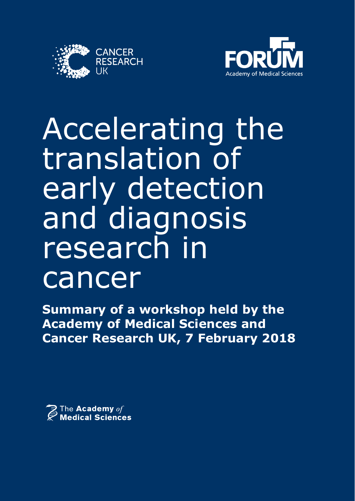



# Accelerating the translation of early detection and diagnosis research in cancer

**Summary of a workshop held by the Academy of Medical Sciences and Cancer Research UK, 7 February 2018**

 $\widehat{\mathcal{Z}}$  The Academy  $\mathit{of}$  Medical Sciences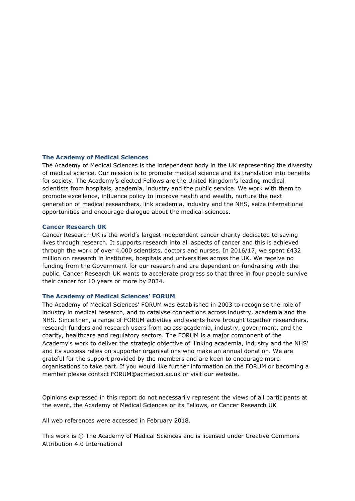#### **The Academy of Medical Sciences**

The Academy of Medical Sciences is the independent body in the UK representing the diversity of medical science. Our mission is to promote medical science and its translation into benefits for society. The Academy's elected Fellows are the United Kingdom's leading medical scientists from hospitals, academia, industry and the public service. We work with them to promote excellence, influence policy to improve health and wealth, nurture the next generation of medical researchers, link academia, industry and the NHS, seize international opportunities and encourage dialogue about the medical sciences.

#### **Cancer Research UK**

Cancer Research UK is the world's largest independent cancer charity dedicated to saving lives through research. It supports research into all aspects of cancer and this is achieved through the work of over 4,000 scientists, doctors and nurses. In 2016/17, we spent £432 million on research in institutes, hospitals and universities across the UK. We receive no funding from the Government for our research and are dependent on fundraising with the public. Cancer Research UK wants to accelerate progress so that three in four people survive their cancer for 10 years or more by 2034.

#### **The Academy of Medical Sciences' FORUM**

The Academy of Medical Sciences' FORUM was established in 2003 to recognise the role of industry in medical research, and to catalyse connections across industry, academia and the NHS. Since then, a range of FORUM activities and events have brought together researchers, research funders and research users from across academia, industry, government, and the charity, healthcare and regulatory sectors. The FORUM is a major component of the Academy's work to deliver the strategic objective of 'linking academia, industry and the NHS' and its success relies on supporter organisations who make an annual donation. We are grateful for the support provided by the members and are keen to encourage more organisations to take part. If you would like further information on the FORUM or becoming a member please contact FORUM@acmedsci.ac.uk or visit our website.

Opinions expressed in this report do not necessarily represent the views of all participants at the event, the Academy of Medical Sciences or its Fellows, or Cancer Research UK

All web references were accessed in February 2018.

This work is © The Academy of Medical Sciences and is licensed under Creative Commons Attribution 4.0 International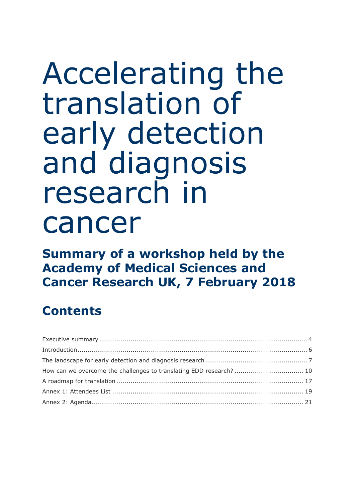# Accelerating the translation of early detection and diagnosis research in cancer

**Summary of a workshop held by the Academy of Medical Sciences and Cancer Research UK, 7 February 2018**

## **Contents**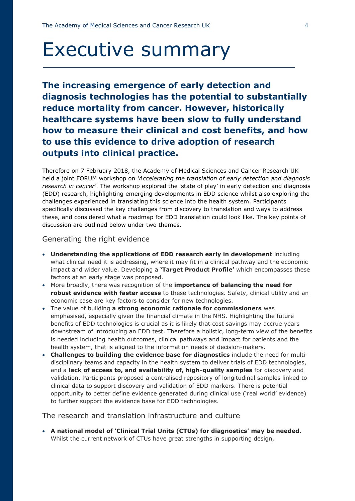## Executive summary

**The increasing emergence of early detection and diagnosis technologies has the potential to substantially reduce mortality from cancer. However, historically healthcare systems have been slow to fully understand how to measure their clinical and cost benefits, and how to use this evidence to drive adoption of research outputs into clinical practice.**

Therefore on 7 February 2018, the Academy of Medical Sciences and Cancer Research UK held a joint FORUM workshop on *'Accelerating the translation of early detection and diagnosis research in cancer'*. The workshop explored the 'state of play' in early detection and diagnosis (EDD) research, highlighting emerging developments in EDD science whilst also exploring the challenges experienced in translating this science into the health system. Participants specifically discussed the key challenges from discovery to translation and ways to address these, and considered what a roadmap for EDD translation could look like. The key points of discussion are outlined below under two themes.

#### Generating the right evidence

- **Understanding the applications of EDD research early in development** including what clinical need it is addressing, where it may fit in a clinical pathway and the economic impact and wider value. Developing a **'Target Product Profile'** which encompasses these factors at an early stage was proposed.
- More broadly, there was recognition of the **importance of balancing the need for robust evidence with faster access** to these technologies. Safety, clinical utility and an economic case are key factors to consider for new technologies.
- The value of building **a strong economic rationale for commissioners** was emphasised, especially given the financial climate in the NHS. Highlighting the future benefits of EDD technologies is crucial as it is likely that cost savings may accrue years downstream of introducing an EDD test. Therefore a holistic, long-term view of the benefits is needed including health outcomes, clinical pathways and impact for patients and the health system, that is aligned to the information needs of decision-makers.
- **Challenges to building the evidence base for diagnostics** include the need for multidisciplinary teams and capacity in the health system to deliver trials of EDD technologies, and a **lack of access to, and availability of, high-quality samples** for discovery and validation. Participants proposed a centralised repository of longitudinal samples linked to clinical data to support discovery and validation of EDD markers. There is potential opportunity to better define evidence generated during clinical use ('real world' evidence) to further support the evidence base for EDD technologies.

#### The research and translation infrastructure and culture

 **A national model of 'Clinical Trial Units (CTUs) for diagnostics' may be needed**. Whilst the current network of CTUs have great strengths in supporting design,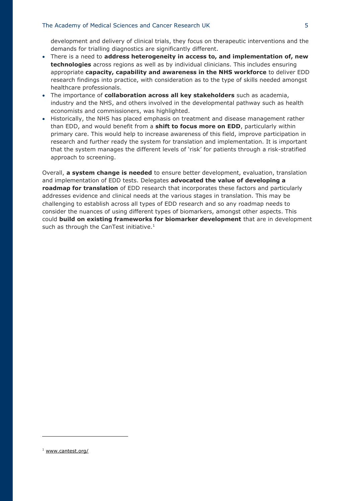#### The Academy of Medical Sciences and Cancer Research UK 5

development and delivery of clinical trials, they focus on therapeutic interventions and the demands for trialling diagnostics are significantly different.

- There is a need to **address heterogeneity in access to, and implementation of, new technologies** across regions as well as by individual clinicians. This includes ensuring appropriate **capacity, capability and awareness in the NHS workforce** to deliver EDD research findings into practice, with consideration as to the type of skills needed amongst healthcare professionals.
- The importance of **collaboration across all key stakeholders** such as academia, industry and the NHS, and others involved in the developmental pathway such as health economists and commissioners, was highlighted.
- Historically, the NHS has placed emphasis on treatment and disease management rather than EDD, and would benefit from a **shift to focus more on EDD**, particularly within primary care. This would help to increase awareness of this field, improve participation in research and further ready the system for translation and implementation. It is important that the system manages the different levels of 'risk' for patients through a risk-stratified approach to screening.

Overall, **a system change is needed** to ensure better development, evaluation, translation and implementation of EDD tests. Delegates **advocated the value of developing a roadmap for translation** of EDD research that incorporates these factors and particularly addresses evidence and clinical needs at the various stages in translation. This may be challenging to establish across all types of EDD research and so any roadmap needs to consider the nuances of using different types of biomarkers, amongst other aspects. This could **build on existing frameworks for biomarker development** that are in development such as through the CanTest initiative. $1$ 

<u>.</u>

<sup>1</sup> [www.cantest.org/](http://www.cantest.org/)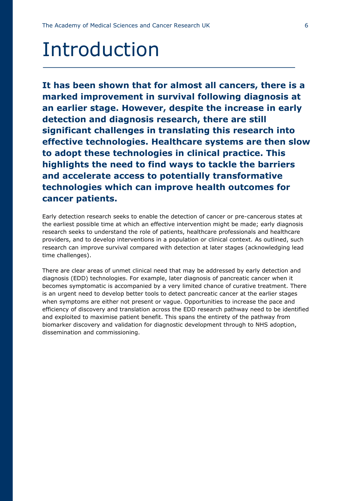## Introduction

**It has been shown that for almost all cancers, there is a marked improvement in survival following diagnosis at an earlier stage. However, despite the increase in early detection and diagnosis research, there are still significant challenges in translating this research into effective technologies. Healthcare systems are then slow to adopt these technologies in clinical practice. This highlights the need to find ways to tackle the barriers and accelerate access to potentially transformative technologies which can improve health outcomes for cancer patients.**

Early detection research seeks to enable the detection of cancer or pre-cancerous states at the earliest possible time at which an effective intervention might be made; early diagnosis research seeks to understand the role of patients, healthcare professionals and healthcare providers, and to develop interventions in a population or clinical context. As outlined, such research can improve survival compared with detection at later stages (acknowledging lead time challenges).

There are clear areas of unmet clinical need that may be addressed by early detection and diagnosis (EDD) technologies. For example, later diagnosis of pancreatic cancer when it becomes symptomatic is accompanied by a very limited chance of curative treatment. There is an urgent need to develop better tools to detect pancreatic cancer at the earlier stages when symptoms are either not present or vague. Opportunities to increase the pace and efficiency of discovery and translation across the EDD research pathway need to be identified and exploited to maximise patient benefit. This spans the entirety of the pathway from biomarker discovery and validation for diagnostic development through to NHS adoption, dissemination and commissioning.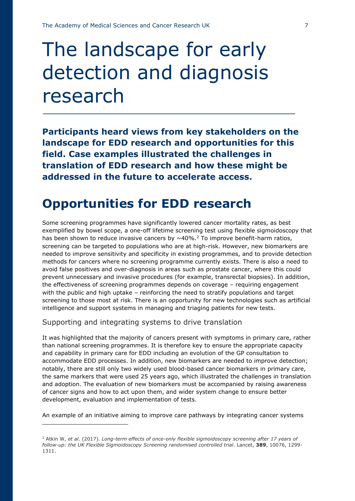## The landscape for early detection and diagnosis research

**Participants heard views from key stakeholders on the landscape for EDD research and opportunities for this field. Case examples illustrated the challenges in translation of EDD research and how these might be addressed in the future to accelerate access.**

## **Opportunities for EDD research**

Some screening programmes have significantly lowered cancer mortality rates, as best exemplified by bowel scope, a one-off lifetime screening test using flexible sigmoidoscopy that has been shown to reduce invasive cancers by  $\sim$  40%.<sup>2</sup> To improve benefit-harm ratios, screening can be targeted to populations who are at high-risk. However, new biomarkers are needed to improve sensitivity and specificity in existing programmes, and to provide detection methods for cancers where no screening programme currently exists. There is also a need to avoid false positives and over-diagnosis in areas such as prostate cancer, where this could prevent unnecessary and invasive procedures (for example, transrectal biopsies). In addition, the effectiveness of screening programmes depends on coverage – requiring engagement with the public and high uptake – reinforcing the need to stratify populations and target screening to those most at risk. There is an opportunity for new technologies such as artificial intelligence and support systems in managing and triaging patients for new tests.

Supporting and integrating systems to drive translation

<u>.</u>

It was highlighted that the majority of cancers present with symptoms in primary care, rather than national screening programmes. It is therefore key to ensure the appropriate capacity and capability in primary care for EDD including an evolution of the GP consultation to accommodate EDD processes. In addition, new biomarkers are needed to improve detection; notably, there are still only two widely used blood-based cancer biomarkers in primary care, the same markers that were used 25 years ago, which illustrated the challenges in translation and adoption. The evaluation of new biomarkers must be accompanied by raising awareness of cancer signs and how to act upon them, and wider system change to ensure better development, evaluation and implementation of tests.

An example of an initiative aiming to improve care pathways by integrating cancer systems

<sup>2</sup> Atkin W, *et al*. (2017). *Long-term effects of once-only flexible sigmoidoscopy screening after 17 years of follow-up: the UK Flexible Sigmoidoscopy Screening randomised controlled trial*. Lancet, **389**, 10076, 1299- 1311.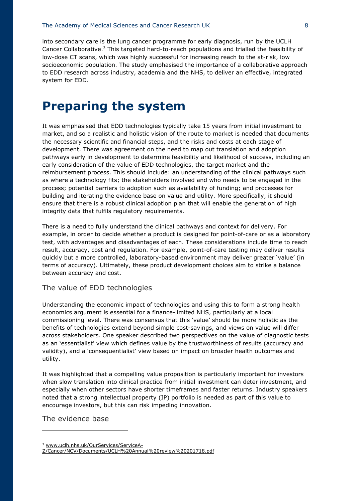into secondary care is the lung cancer programme for early diagnosis, run by the UCLH Cancer Collaborative. <sup>3</sup> This targeted hard-to-reach populations and trialled the feasibility of low-dose CT scans, which was highly successful for increasing reach to the at-risk, low socioeconomic population. The study emphasised the importance of a collaborative approach to EDD research across industry, academia and the NHS, to deliver an effective, integrated system for EDD.

### **Preparing the system**

It was emphasised that EDD technologies typically take 15 years from initial investment to market, and so a realistic and holistic vision of the route to market is needed that documents the necessary scientific and financial steps, and the risks and costs at each stage of development. There was agreement on the need to map out translation and adoption pathways early in development to determine feasibility and likelihood of success, including an early consideration of the value of EDD technologies, the target market and the reimbursement process. This should include: an understanding of the clinical pathways such as where a technology fits; the stakeholders involved and who needs to be engaged in the process; potential barriers to adoption such as availability of funding; and processes for building and iterating the evidence base on value and utility. More specifically, it should ensure that there is a robust clinical adoption plan that will enable the generation of high integrity data that fulfils regulatory requirements.

There is a need to fully understand the clinical pathways and context for delivery. For example, in order to decide whether a product is designed for point-of-care or as a laboratory test, with advantages and disadvantages of each. These considerations include time to reach result, accuracy, cost and regulation. For example, point-of-care testing may deliver results quickly but a more controlled, laboratory-based environment may deliver greater 'value' (in terms of accuracy). Ultimately, these product development choices aim to strike a balance between accuracy and cost.

#### The value of EDD technologies

Understanding the economic impact of technologies and using this to form a strong health economics argument is essential for a finance-limited NHS, particularly at a local commissioning level. There was consensus that this 'value' should be more holistic as the benefits of technologies extend beyond simple cost-savings, and views on value will differ across stakeholders. One speaker described two perspectives on the value of diagnostic tests as an 'essentialist' view which defines value by the trustworthiness of results (accuracy and validity), and a 'consequentialist' view based on impact on broader health outcomes and utility.

It was highlighted that a compelling value proposition is particularly important for investors when slow translation into clinical practice from initial investment can deter investment, and especially when other sectors have shorter timeframes and faster returns. Industry speakers noted that a strong intellectual property (IP) portfolio is needed as part of this value to encourage investors, but this can risk impeding innovation.

The evidence base

<u>.</u>

<sup>3</sup> [www.uclh.nhs.uk/OurServices/ServiceA-](http://www.uclh.nhs.uk/OurServices/ServiceA-Z/Cancer/NCV/Documents/UCLH%20Annual%20review%20201718.pdf)

[Z/Cancer/NCV/Documents/UCLH%20Annual%20review%20201718.pdf](http://www.uclh.nhs.uk/OurServices/ServiceA-Z/Cancer/NCV/Documents/UCLH%20Annual%20review%20201718.pdf)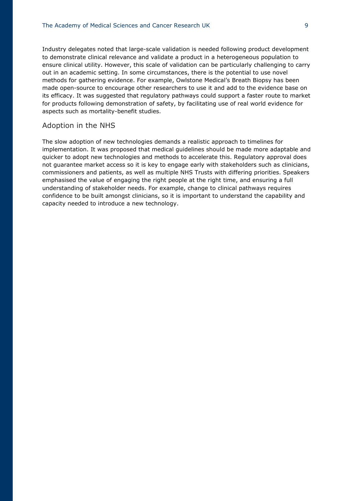Industry delegates noted that large-scale validation is needed following product development to demonstrate clinical relevance and validate a product in a heterogeneous population to ensure clinical utility. However, this scale of validation can be particularly challenging to carry out in an academic setting. In some circumstances, there is the potential to use novel methods for gathering evidence. For example, Owlstone Medical's Breath Biopsy has been made open-source to encourage other researchers to use it and add to the evidence base on its efficacy. It was suggested that regulatory pathways could support a faster route to market for products following demonstration of safety, by facilitating use of real world evidence for aspects such as mortality-benefit studies.

#### Adoption in the NHS

The slow adoption of new technologies demands a realistic approach to timelines for implementation. It was proposed that medical guidelines should be made more adaptable and quicker to adopt new technologies and methods to accelerate this. Regulatory approval does not guarantee market access so it is key to engage early with stakeholders such as clinicians, commissioners and patients, as well as multiple NHS Trusts with differing priorities. Speakers emphasised the value of engaging the right people at the right time, and ensuring a full understanding of stakeholder needs. For example, change to clinical pathways requires confidence to be built amongst clinicians, so it is important to understand the capability and capacity needed to introduce a new technology.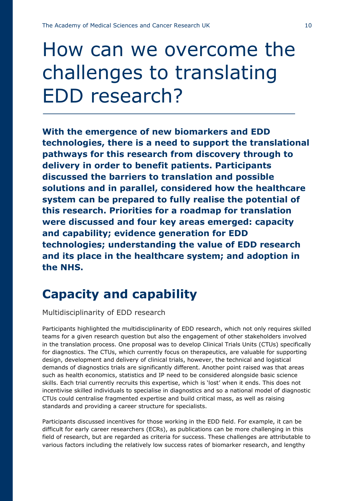## How can we overcome the challenges to translating EDD research?

**With the emergence of new biomarkers and EDD technologies, there is a need to support the translational pathways for this research from discovery through to delivery in order to benefit patients. Participants discussed the barriers to translation and possible solutions and in parallel, considered how the healthcare system can be prepared to fully realise the potential of this research. Priorities for a roadmap for translation were discussed and four key areas emerged: capacity and capability; evidence generation for EDD technologies; understanding the value of EDD research and its place in the healthcare system; and adoption in the NHS.**

### **Capacity and capability**

Multidisciplinarity of EDD research

Participants highlighted the multidisciplinarity of EDD research, which not only requires skilled teams for a given research question but also the engagement of other stakeholders involved in the translation process. One proposal was to develop Clinical Trials Units (CTUs) specifically for diagnostics. The CTUs, which currently focus on therapeutics, are valuable for supporting design, development and delivery of clinical trials, however, the technical and logistical demands of diagnostics trials are significantly different. Another point raised was that areas such as health economics, statistics and IP need to be considered alongside basic science skills. Each trial currently recruits this expertise, which is 'lost' when it ends. This does not incentivise skilled individuals to specialise in diagnostics and so a national model of diagnostic CTUs could centralise fragmented expertise and build critical mass, as well as raising standards and providing a career structure for specialists.

Participants discussed incentives for those working in the EDD field. For example, it can be difficult for early career researchers (ECRs), as publications can be more challenging in this field of research, but are regarded as criteria for success. These challenges are attributable to various factors including the relatively low success rates of biomarker research, and lengthy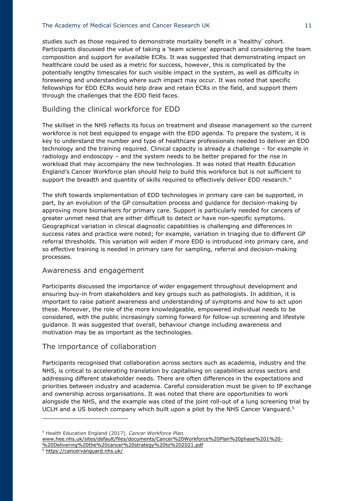studies such as those required to demonstrate mortality benefit in a 'healthy' cohort. Participants discussed the value of taking a 'team science' approach and considering the team composition and support for available ECRs. It was suggested that demonstrating impact on healthcare could be used as a metric for success, however, this is complicated by the potentially lengthy timescales for such visible impact in the system, as well as difficulty in foreseeing and understanding where such impact may occur. It was noted that specific fellowships for EDD ECRs would help draw and retain ECRs in the field, and support them through the challenges that the EDD field faces.

#### Building the clinical workforce for EDD

The skillset in the NHS reflects its focus on treatment and disease management so the current workforce is not best equipped to engage with the EDD agenda. To prepare the system, it is key to understand the number and type of healthcare professionals needed to deliver an EDD technology and the training required. Clinical capacity is already a challenge – for example in radiology and endoscopy – and the system needs to be better prepared for the rise in workload that may accompany the new technologies. It was noted that Health Education England's Cancer Workforce plan should help to build this workforce but is not sufficient to support the breadth and quantity of skills required to effectively deliver EDD research.<sup>4</sup>

The shift towards implementation of EDD technologies in primary care can be supported, in part, by an evolution of the GP consultation process and guidance for decision-making by approving more biomarkers for primary care. Support is particularly needed for cancers of greater unmet need that are either difficult to detect or have non-specific symptoms. Geographical variation in clinical diagnostic capabilities is challenging and differences in success rates and practice were noted; for example, variation in triaging due to different GP referral thresholds. This variation will widen if more EDD is introduced into primary care, and so effective training is needed in primary care for sampling, referral and decision-making processes.

#### Awareness and engagement

Participants discussed the importance of wider engagement throughout development and ensuring buy-in from stakeholders and key groups such as pathologists. In addition, it is important to raise patient awareness and understanding of symptoms and how to act upon these. Moreover, the role of the more knowledgeable, empowered individual needs to be considered, with the public increasingly coming forward for follow-up screening and lifestyle guidance. It was suggested that overall, behaviour change including awareness and motivation may be as important as the technologies.

#### The importance of collaboration

Participants recognised that collaboration across sectors such as academia, industry and the NHS, is critical to accelerating translation by capitalising on capabilities across sectors and addressing different stakeholder needs. There are often differences in the expectations and priorities between industry and academia. Careful consideration must be given to IP exchange and ownership across organisations. It was noted that there are opportunities to work alongside the NHS, and the example was cited of the joint roll-out of a lung screening trial by UCLH and a US biotech company which built upon a pilot by the NHS Cancer Vanguard.<sup>5</sup>

<u>.</u>

<sup>4</sup> Health Education England (2017). *Cancer Workforce Plan.* 

[www.hee.nhs.uk/sites/default/files/documents/Cancer%20Workforce%20Plan%20phase%201%20-](http://www.hee.nhs.uk/sites/default/files/documents/Cancer%20Workforce%20Plan%20phase%201%20-%20Delivering%20the%20cancer%20strategy%20to%202021.pdf) [%20Delivering%20the%20cancer%20strategy%20to%202021.pdf](http://www.hee.nhs.uk/sites/default/files/documents/Cancer%20Workforce%20Plan%20phase%201%20-%20Delivering%20the%20cancer%20strategy%20to%202021.pdf)

<sup>5</sup> <https://cancervanguard.nhs.uk/>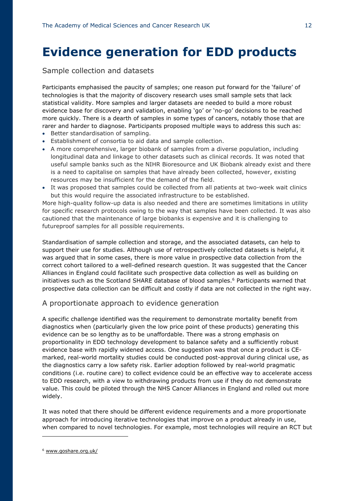## **Evidence generation for EDD products**

#### Sample collection and datasets

Participants emphasised the paucity of samples; one reason put forward for the 'failure' of technologies is that the majority of discovery research uses small sample sets that lack statistical validity. More samples and larger datasets are needed to build a more robust evidence base for discovery and validation, enabling 'go' or 'no-go' decisions to be reached more quickly. There is a dearth of samples in some types of cancers, notably those that are rarer and harder to diagnose. Participants proposed multiple ways to address this such as:

- Better standardisation of sampling.
- Establishment of consortia to aid data and sample collection.
- A more comprehensive, larger biobank of samples from a diverse population, including longitudinal data and linkage to other datasets such as clinical records. It was noted that useful sample banks such as the NIHR Bioresource and UK Biobank already exist and there is a need to capitalise on samples that have already been collected, however, existing resources may be insufficient for the demand of the field.
- It was proposed that samples could be collected from all patients at two-week wait clinics but this would require the associated infrastructure to be established.

More high-quality follow-up data is also needed and there are sometimes limitations in utility for specific research protocols owing to the way that samples have been collected. It was also cautioned that the maintenance of large biobanks is expensive and it is challenging to futureproof samples for all possible requirements.

Standardisation of sample collection and storage, and the associated datasets, can help to support their use for studies. Although use of retrospectively collected datasets is helpful, it was argued that in some cases, there is more value in prospective data collection from the correct cohort tailored to a well-defined research question. It was suggested that the Cancer Alliances in England could facilitate such prospective data collection as well as building on initiatives such as the Scotland SHARE database of blood samples.<sup>6</sup> Participants warned that prospective data collection can be difficult and costly if data are not collected in the right way.

#### A proportionate approach to evidence generation

A specific challenge identified was the requirement to demonstrate mortality benefit from diagnostics when (particularly given the low price point of these products) generating this evidence can be so lengthy as to be unaffordable. There was a strong emphasis on proportionality in EDD technology development to balance safety and a sufficiently robust evidence base with rapidly widened access. One suggestion was that once a product is CEmarked, real-world mortality studies could be conducted post-approval during clinical use, as the diagnostics carry a low safety risk. Earlier adoption followed by real-world pragmatic conditions (i.e. routine care) to collect evidence could be an effective way to accelerate access to EDD research, with a view to withdrawing products from use if they do not demonstrate value. This could be piloted through the NHS Cancer Alliances in England and rolled out more widely.

It was noted that there should be different evidence requirements and a more proportionate approach for introducing iterative technologies that improve on a product already in use, when compared to novel technologies. For example, most technologies will require an RCT but

<u>.</u>

<sup>6</sup> [www.goshare.org.uk/](http://www.goshare.org.uk/)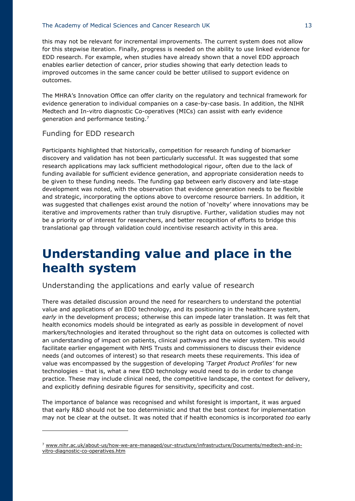#### The Academy of Medical Sciences and Cancer Research UK 13

this may not be relevant for incremental improvements. The current system does not allow for this stepwise iteration. Finally, progress is needed on the ability to use linked evidence for EDD research. For example, when studies have already shown that a novel EDD approach enables earlier detection of cancer, prior studies showing that early detection leads to improved outcomes in the same cancer could be better utilised to support evidence on outcomes.

The MHRA's Innovation Office can offer clarity on the regulatory and technical framework for evidence generation to individual companies on a case-by-case basis. In addition, the NIHR Medtech and In-vitro diagnostic Co-operatives (MICs) can assist with early evidence generation and performance testing.<sup>7</sup>

#### Funding for EDD research

<u>.</u>

Participants highlighted that historically, competition for research funding of biomarker discovery and validation has not been particularly successful. It was suggested that some research applications may lack sufficient methodological rigour, often due to the lack of funding available for sufficient evidence generation, and appropriate consideration needs to be given to these funding needs. The funding gap between early discovery and late-stage development was noted, with the observation that evidence generation needs to be flexible and strategic, incorporating the options above to overcome resource barriers. In addition, it was suggested that challenges exist around the notion of 'novelty' where innovations may be iterative and improvements rather than truly disruptive. Further, validation studies may not be a priority or of interest for researchers, and better recognition of efforts to bridge this translational gap through validation could incentivise research activity in this area.

### **Understanding value and place in the health system**

#### Understanding the applications and early value of research

There was detailed discussion around the need for researchers to understand the potential value and applications of an EDD technology, and its positioning in the healthcare system, *early* in the development process; otherwise this can impede later translation. It was felt that health economics models should be integrated as early as possible in development of novel markers/technologies and iterated throughout so the right data on outcomes is collected with an understanding of impact on patients, clinical pathways and the wider system. This would facilitate earlier engagement with NHS Trusts and commissioners to discuss their evidence needs (and outcomes of interest) so that research meets these requirements. This idea of value was encompassed by the suggestion of developing *'Target Product Profiles'* for new technologies – that is, what a new EDD technology would need to do in order to change practice. These may include clinical need, the competitive landscape, the context for delivery, and explicitly defining desirable figures for sensitivity, specificity and cost.

The importance of balance was recognised and whilst foresight is important, it was argued that early R&D should not be too deterministic and that the best context for implementation may not be clear at the outset. It was noted that if health economics is incorporated *too* early

<sup>7</sup> [www.nihr.ac.uk/about-us/how-we-are-managed/our-structure/infrastructure/Documents/medtech-and-in](http://www.nihr.ac.uk/about-us/how-we-are-managed/our-structure/infrastructure/Documents/medtech-and-in-vitro-diagnostic-co-operatives.htm)[vitro-diagnostic-co-operatives.htm](http://www.nihr.ac.uk/about-us/how-we-are-managed/our-structure/infrastructure/Documents/medtech-and-in-vitro-diagnostic-co-operatives.htm)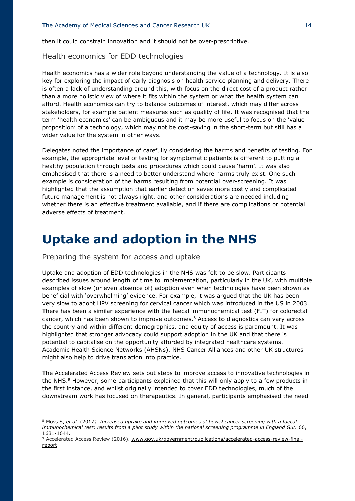then it could constrain innovation and it should not be over-prescriptive.

#### Health economics for EDD technologies

Health economics has a wider role beyond understanding the value of a technology. It is also key for exploring the impact of early diagnosis on health service planning and delivery. There is often a lack of understanding around this, with focus on the direct cost of a product rather than a more holistic view of where it fits within the system or what the health system can afford. Health economics can try to balance outcomes of interest, which may differ across stakeholders, for example patient measures such as quality of life. It was recognised that the term 'health economics' can be ambiguous and it may be more useful to focus on the 'value proposition' of a technology, which may not be cost-saving in the short-term but still has a wider value for the system in other ways.

Delegates noted the importance of carefully considering the harms and benefits of testing. For example, the appropriate level of testing for symptomatic patients is different to putting a healthy population through tests and procedures which could cause 'harm'. It was also emphasised that there is a need to better understand where harms truly exist. One such example is consideration of the harms resulting from potential over-screening. It was highlighted that the assumption that earlier detection saves more costly and complicated future management is not always right, and other considerations are needed including whether there is an effective treatment available, and if there are complications or potential adverse effects of treatment.

### **Uptake and adoption in the NHS**

Preparing the system for access and uptake

<u>.</u>

Uptake and adoption of EDD technologies in the NHS was felt to be slow. Participants described issues around length of time to implementation, particularly in the UK, with multiple examples of slow (or even absence of) adoption even when technologies have been shown as beneficial with 'overwhelming' evidence. For example, it was argued that the UK has been very slow to adopt HPV screening for cervical cancer which was introduced in the US in 2003. There has been a similar experience with the faecal immunochemical test (FIT) for colorectal cancer, which has been shown to improve outcomes.<sup>8</sup> Access to diagnostics can vary across the country and within different demographics, and equity of access is paramount. It was highlighted that stronger advocacy could support adoption in the UK and that there is potential to capitalise on the opportunity afforded by integrated healthcare systems. Academic Health Science Networks (AHSNs), NHS Cancer Alliances and other UK structures might also help to drive translation into practice.

The Accelerated Access Review sets out steps to improve access to innovative technologies in the NHS.<sup>9</sup> However, some participants explained that this will only apply to a few products in the first instance, and whilst originally intended to cover EDD technologies, much of the downstream work has focused on therapeutics. In general, participants emphasised the need

<sup>8</sup> Moss S, *et al.* (2017*). Increased uptake and improved outcomes of bowel cancer screening with a faecal*  immunochemical test: results from a pilot study within the national screening programme in England Gut. 66, 1631-1644.

<sup>9</sup> Accelerated Access Review (2016). [www.gov.uk/government/publications/accelerated-access-review-final](http://www.gov.uk/government/publications/accelerated-access-review-final-report)[report](http://www.gov.uk/government/publications/accelerated-access-review-final-report)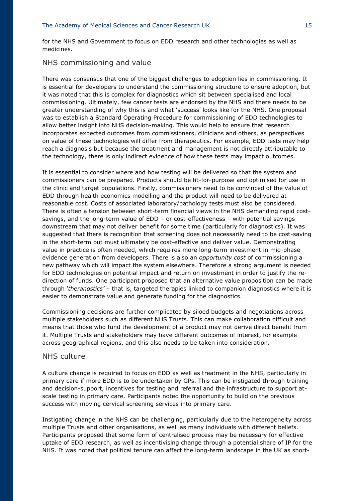for the NHS and Government to focus on EDD research and other technologies as well as medicines.

#### NHS commissioning and value

There was consensus that one of the biggest challenges to adoption lies in commissioning. It is essential for developers to understand the commissioning structure to ensure adoption, but it was noted that this is complex for diagnostics which sit between specialised and local commissioning. Ultimately, few cancer tests are endorsed by the NHS and there needs to be greater understanding of why this is and what 'success' looks like for the NHS. One proposal was to establish a Standard Operating Procedure for commissioning of EDD technologies to allow better insight into NHS decision-making. This would help to ensure that research incorporates expected outcomes from commissioners, clinicians and others, as perspectives on value of these technologies will differ from therapeutics. For example, EDD tests may help reach a diagnosis but because the treatment and management is not directly attributable to the technology, there is only indirect evidence of how these tests may impact outcomes.

It is essential to consider where and how testing will be delivered so that the system and commissioners can be prepared. Products should be fit-for-purpose and optimised for use in the clinic and target populations. Firstly, commissioners need to be convinced of the value of EDD through health economics modelling and the product will need to be delivered at reasonable cost. Costs of associated laboratory/pathology tests must also be considered. There is often a tension between short-term financial views in the NHS demanding rapid costsavings, and the long-term value of EDD – or cost-effectiveness – with potential savings downstream that may not deliver benefit for some time (particularly for diagnostics). It was suggested that there is recognition that screening does not necessarily need to be cost-saving in the short-term but must ultimately be cost-effective and deliver value. Demonstrating value in practice is often needed, which requires more long-term investment in mid-phase evidence generation from developers. There is also an *opportunity cost* of commissioning a new pathway which will impact the system elsewhere. Therefore a strong argument is needed for EDD technologies on potential impact and return on investment in order to justify the redirection of funds. One participant proposed that an alternative value proposition can be made through *'theranostics'* – that is, targeted therapies linked to companion diagnostics where it is easier to demonstrate value and generate funding for the diagnostics.

Commissioning decisions are further complicated by siloed budgets and negotiations across multiple stakeholders such as different NHS Trusts. This can make collaboration difficult and means that those who fund the development of a product may not derive direct benefit from it. Multiple Trusts and stakeholders may have different outcomes of interest, for example across geographical regions, and this also needs to be taken into consideration.

#### NHS culture

A culture change is required to focus on EDD as well as treatment in the NHS, particularly in primary care if more EDD is to be undertaken by GPs. This can be instigated through training and decision-support, incentives for testing and referral and the infrastructure to support atscale testing in primary care. Participants noted the opportunity to build on the previous success with moving cervical screening services into primary care.

Instigating change in the NHS can be challenging, particularly due to the heterogeneity across multiple Trusts and other organisations, as well as many individuals with different beliefs. Participants proposed that some form of centralised process may be necessary for effective uptake of EDD research, as well as incentivising change through a potential share of IP for the NHS. It was noted that political tenure can affect the long-term landscape in the UK as short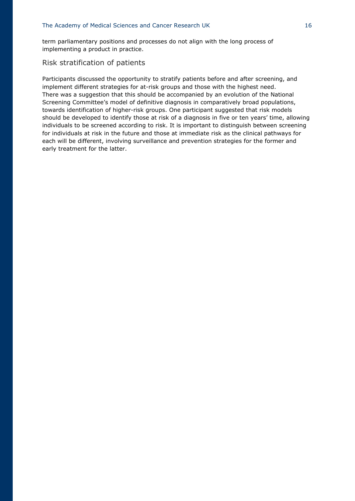term parliamentary positions and processes do not align with the long process of implementing a product in practice.

#### Risk stratification of patients

Participants discussed the opportunity to stratify patients before and after screening, and implement different strategies for at-risk groups and those with the highest need. There was a suggestion that this should be accompanied by an evolution of the National Screening Committee's model of definitive diagnosis in comparatively broad populations, towards identification of higher-risk groups. One participant suggested that risk models should be developed to identify those at risk of a diagnosis in five or ten years' time, allowing individuals to be screened according to risk. It is important to distinguish between screening for individuals at risk in the future and those at immediate risk as the clinical pathways for each will be different, involving surveillance and prevention strategies for the former and early treatment for the latter.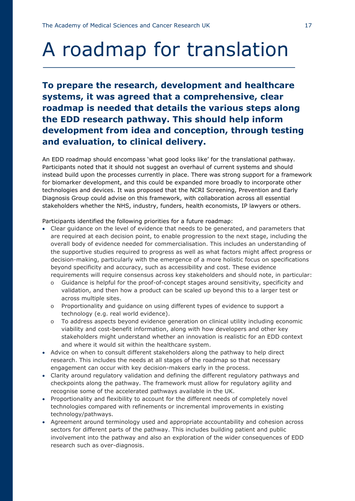## A roadmap for translation

**To prepare the research, development and healthcare systems, it was agreed that a comprehensive, clear roadmap is needed that details the various steps along the EDD research pathway. This should help inform development from idea and conception, through testing and evaluation, to clinical delivery.** 

An EDD roadmap should encompass 'what good looks like' for the translational pathway. Participants noted that it should not suggest an overhaul of current systems and should instead build upon the processes currently in place. There was strong support for a framework for biomarker development, and this could be expanded more broadly to incorporate other technologies and devices. It was proposed that the NCRI Screening, Prevention and Early Diagnosis Group could advise on this framework, with collaboration across all essential stakeholders whether the NHS, industry, funders, health economists, IP lawyers or others.

Participants identified the following priorities for a future roadmap:

- Clear guidance on the level of evidence that needs to be generated, and parameters that are required at each decision point, to enable progression to the next stage, including the overall body of evidence needed for commercialisation. This includes an understanding of the supportive studies required to progress as well as what factors might affect progress or decision-making, particularly with the emergence of a more holistic focus on specifications beyond specificity and accuracy, such as accessibility and cost. These evidence requirements will require consensus across key stakeholders and should note, in particular:
	- o Guidance is helpful for the proof-of-concept stages around sensitivity, specificity and validation, and then how a product can be scaled up beyond this to a larger test or across multiple sites.
	- o Proportionality and guidance on using different types of evidence to support a technology (e.g. real world evidence).
	- o To address aspects beyond evidence generation on clinical utility including economic viability and cost-benefit information, along with how developers and other key stakeholders might understand whether an innovation is realistic for an EDD context and where it would sit within the healthcare system.
- Advice on when to consult different stakeholders along the pathway to help direct research. This includes the needs at all stages of the roadmap so that necessary engagement can occur with key decision-makers early in the process.
- Clarity around regulatory validation and defining the different regulatory pathways and checkpoints along the pathway. The framework must allow for regulatory agility and recognise some of the accelerated pathways available in the UK.
- Proportionality and flexibility to account for the different needs of completely novel technologies compared with refinements or incremental improvements in existing technology/pathways.
- Agreement around terminology used and appropriate accountability and cohesion across sectors for different parts of the pathway. This includes building patient and public involvement into the pathway and also an exploration of the wider consequences of EDD research such as over-diagnosis.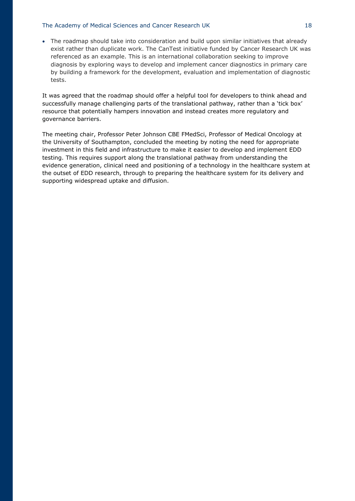#### The Academy of Medical Sciences and Cancer Research UK 18

• The roadmap should take into consideration and build upon similar initiatives that already exist rather than duplicate work. The CanTest initiative funded by Cancer Research UK was referenced as an example. This is an international collaboration seeking to improve diagnosis by exploring ways to develop and implement cancer diagnostics in primary care by building a framework for the development, evaluation and implementation of diagnostic tests.

It was agreed that the roadmap should offer a helpful tool for developers to think ahead and successfully manage challenging parts of the translational pathway, rather than a 'tick box' resource that potentially hampers innovation and instead creates more regulatory and governance barriers.

The meeting chair, Professor Peter Johnson CBE FMedSci, Professor of Medical Oncology at the University of Southampton, concluded the meeting by noting the need for appropriate investment in this field and infrastructure to make it easier to develop and implement EDD testing. This requires support along the translational pathway from understanding the evidence generation, clinical need and positioning of a technology in the healthcare system at the outset of EDD research, through to preparing the healthcare system for its delivery and supporting widespread uptake and diffusion.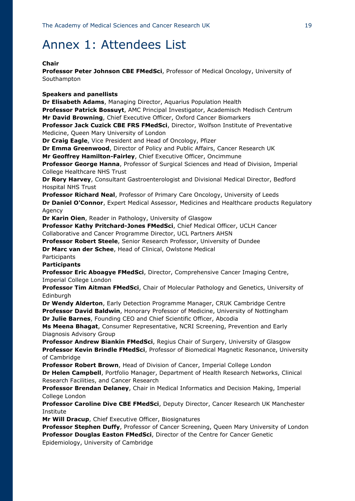### Annex 1: Attendees List

#### **Chair**

**Professor Peter Johnson CBE FMedSci**, Professor of Medical Oncology, University of Southampton

#### **Speakers and panellists**

**Dr Elisabeth Adams**, Managing Director, Aquarius Population Health **Professor Patrick Bossuyt**, AMC Principal Investigator, Academisch Medisch Centrum **Mr David Browning**, Chief Executive Officer, Oxford Cancer Biomarkers **Professor Jack Cuzick CBE FRS FMedSci**, Director, Wolfson Institute of Preventative Medicine, Queen Mary University of London **Dr Craig Eagle**, Vice President and Head of Oncology, Pfizer **Dr Emma Greenwood**, Director of Policy and Public Affairs, Cancer Research UK **Mr Geoffrey Hamilton-Fairley**, Chief Executive Officer, Oncimmune **Professor George Hanna**, Professor of Surgical Sciences and Head of Division, Imperial College Healthcare NHS Trust **Dr Rory Harvey**, Consultant Gastroenterologist and Divisional Medical Director, Bedford Hospital NHS Trust **Professor Richard Neal**, Professor of Primary Care Oncology, University of Leeds **Dr Daniel O'Connor**, Expert Medical Assessor, Medicines and Healthcare products Regulatory Agency **Dr Karin Oien**, Reader in Pathology, University of Glasgow **Professor Kathy Pritchard-Jones FMedSci**, Chief Medical Officer, UCLH Cancer Collaborative and Cancer Programme Director, UCL Partners AHSN **Professor Robert Steele**, Senior Research Professor, University of Dundee

**Dr Marc van der Schee**, Head of Clinical, Owlstone Medical

**Participants** 

#### **Participants**

**Professor Eric Aboagye FMedSci**, Director, Comprehensive Cancer Imaging Centre, Imperial College London

**Professor Tim Aitman FMedSci**, Chair of Molecular Pathology and Genetics, University of Edinburgh

**Dr Wendy Alderton**, Early Detection Programme Manager, CRUK Cambridge Centre **Professor David Baldwin**, Honorary Professor of Medicine, University of Nottingham **Dr Julie Barnes**, Founding CEO and Chief Scientific Officer, Abcodia

**Ms Meena Bhagat**, Consumer Representative, NCRI Screening, Prevention and Early Diagnosis Advisory Group

**Professor Andrew Biankin FMedSci**, Regius Chair of Surgery, University of Glasgow **Professor Kevin Brindle FMedSci**, Professor of Biomedical Magnetic Resonance, University of Cambridge

**Professor Robert Brown**, Head of Division of Cancer, Imperial College London **Dr Helen Campbell**, Portfolio Manager, Department of Health Research Networks, Clinical Research Facilities, and Cancer Research

**Professor Brendan Delaney**, Chair in Medical Informatics and Decision Making, Imperial College London

**Professor Caroline Dive CBE FMedSci**, Deputy Director, Cancer Research UK Manchester Institute

**Mr Will Dracup**, Chief Executive Officer, Biosignatures

**Professor Stephen Duffy**, Professor of Cancer Screening, Queen Mary University of London **Professor Douglas Easton FMedSci**, Director of the Centre for Cancer Genetic Epidemiology, University of Cambridge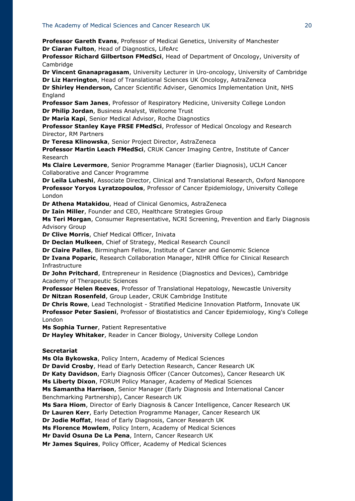**Professor Gareth Evans**, Professor of Medical Genetics, University of Manchester **Dr Ciaran Fulton**, Head of Diagnostics, LifeArc

**Professor Richard Gilbertson FMedSci**, Head of Department of Oncology, University of Cambridge

**Dr Vincent Gnanapragasam**, University Lecturer in Uro-oncology, University of Cambridge **Dr Liz Harrington**, Head of Translational Sciences UK Oncology, AstraZeneca

**Dr Shirley Henderson,** Cancer Scientific Adviser, Genomics Implementation Unit, NHS England

**Professor Sam Janes**, Professor of Respiratory Medicine, University College London **Dr Philip Jordan**, Business Analyst, Wellcome Trust

**Dr Maria Kapi**, Senior Medical Advisor, Roche Diagnostics

**Professor Stanley Kaye FRSE FMedSci**, Professor of Medical Oncology and Research Director, RM Partners

**Dr Teresa Klinowska**, Senior Project Director, AstraZeneca

**Professor Martin Leach FMedSci**, CRUK Cancer Imaging Centre, Institute of Cancer Research

**Ms Claire Levermore**, Senior Programme Manager (Earlier Diagnosis), UCLH Cancer Collaborative and Cancer Programme

**Dr Leila Luheshi**, Associate Director, Clinical and Translational Research, Oxford Nanopore **Professor Yoryos Lyratzopoulos**, Professor of Cancer Epidemiology, University College London

**Dr Athena Matakidou**, Head of Clinical Genomics, AstraZeneca

**Dr Iain Miller**, Founder and CEO, Healthcare Strategies Group

**Ms Teri Morgan**, Consumer Representative, NCRI Screening, Prevention and Early Diagnosis Advisory Group

**Dr Clive Morris**, Chief Medical Officer, Inivata

**Dr Declan Mulkeen**, Chief of Strategy, Medical Research Council

**Dr Claire Palles**, Birmingham Fellow, Institute of Cancer and Genomic Science

**Dr Ivana Poparic**, Research Collaboration Manager, NIHR Office for Clinical Research Infrastructure

**Dr John Pritchard**, Entrepreneur in Residence (Diagnostics and Devices), Cambridge Academy of Therapeutic Sciences

**Professor Helen Reeves**, Professor of Translational Hepatology, Newcastle University **Dr Nitzan Rosenfeld**, Group Leader, CRUK Cambridge Institute

**Dr Chris Rowe**, Lead Technologist - Stratified Medicine Innovation Platform, Innovate UK **Professor Peter Sasieni**, Professor of Biostatistics and Cancer Epidemiology, King's College London

**Ms Sophia Turner**, Patient Representative

**Dr Hayley Whitaker**, Reader in Cancer Biology, University College London

#### **Secretariat**

**Ms Ola Bykowska**, Policy Intern, Academy of Medical Sciences

**Dr David Crosby**, Head of Early Detection Research, Cancer Research UK

**Dr Katy Davidson**, Early Diagnosis Officer (Cancer Outcomes), Cancer Research UK

**Ms Liberty Dixon**, FORUM Policy Manager, Academy of Medical Sciences

**Ms Samantha Harrison**, Senior Manager (Early Diagnosis and International Cancer Benchmarking Partnership), Cancer Research UK

**Ms Sara Hiom**, Director of Early Diagnosis & Cancer Intelligence, Cancer Research UK

**Dr Lauren Kerr**, Early Detection Programme Manager, Cancer Research UK

**Dr Jodie Moffat**, Head of Early Diagnosis, Cancer Research UK

**Ms Florence Mowlem**, Policy Intern, Academy of Medical Sciences

**Mr David Osuna De La Pena**, Intern, Cancer Research UK

**Mr James Squires**, Policy Officer, Academy of Medical Sciences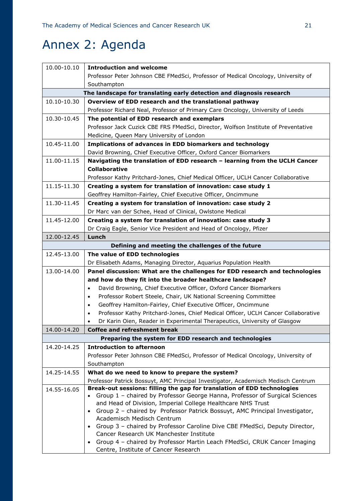## Annex 2: Agenda

| 10.00-10.10                                                          | <b>Introduction and welcome</b>                                                                                         |  |
|----------------------------------------------------------------------|-------------------------------------------------------------------------------------------------------------------------|--|
|                                                                      | Professor Peter Johnson CBE FMedSci, Professor of Medical Oncology, University of                                       |  |
|                                                                      | Southampton                                                                                                             |  |
| The landscape for translating early detection and diagnosis research |                                                                                                                         |  |
| 10.10-10.30                                                          | Overview of EDD research and the translational pathway                                                                  |  |
|                                                                      | Professor Richard Neal, Professor of Primary Care Oncology, University of Leeds                                         |  |
| 10.30-10.45                                                          | The potential of EDD research and exemplars                                                                             |  |
|                                                                      | Professor Jack Cuzick CBE FRS FMedSci, Director, Wolfson Institute of Preventative                                      |  |
|                                                                      | Medicine, Queen Mary University of London                                                                               |  |
| 10.45-11.00                                                          | Implications of advances in EDD biomarkers and technology                                                               |  |
|                                                                      | David Browning, Chief Executive Officer, Oxford Cancer Biomarkers                                                       |  |
| 11.00-11.15                                                          | Navigating the translation of EDD research - learning from the UCLH Cancer                                              |  |
|                                                                      | <b>Collaborative</b>                                                                                                    |  |
|                                                                      | Professor Kathy Pritchard-Jones, Chief Medical Officer, UCLH Cancer Collaborative                                       |  |
| 11.15-11.30                                                          | Creating a system for translation of innovation: case study 1                                                           |  |
|                                                                      | Geoffrey Hamilton-Fairley, Chief Executive Officer, Oncimmune                                                           |  |
| 11.30-11.45                                                          | Creating a system for translation of innovation: case study 2                                                           |  |
|                                                                      | Dr Marc van der Schee, Head of Clinical, Owlstone Medical                                                               |  |
| 11.45-12.00                                                          | Creating a system for translation of innovation: case study 3                                                           |  |
|                                                                      | Dr Craig Eagle, Senior Vice President and Head of Oncology, Pfizer                                                      |  |
| 12.00-12.45                                                          | Lunch                                                                                                                   |  |
|                                                                      | Defining and meeting the challenges of the future                                                                       |  |
| 12.45-13.00                                                          | The value of EDD technologies                                                                                           |  |
|                                                                      | Dr Elisabeth Adams, Managing Director, Aquarius Population Health                                                       |  |
| 13.00-14.00                                                          | Panel discussion: What are the challenges for EDD research and technologies                                             |  |
|                                                                      | and how do they fit into the broader healthcare landscape?                                                              |  |
|                                                                      | David Browning, Chief Executive Officer, Oxford Cancer Biomarkers<br>$\bullet$                                          |  |
|                                                                      | Professor Robert Steele, Chair, UK National Screening Committee<br>$\bullet$                                            |  |
|                                                                      | Geoffrey Hamilton-Fairley, Chief Executive Officer, Oncimmune<br>$\bullet$                                              |  |
|                                                                      | Professor Kathy Pritchard-Jones, Chief Medical Officer, UCLH Cancer Collaborative<br>$\bullet$                          |  |
|                                                                      | Dr Karin Oien, Reader in Experimental Therapeutics, University of Glasgow                                               |  |
| 14.00-14.20                                                          | <b>Coffee and refreshment break</b>                                                                                     |  |
|                                                                      | Preparing the system for EDD research and technologies                                                                  |  |
| 14.20-14.25                                                          | <b>Introduction to afternoon</b>                                                                                        |  |
|                                                                      | Professor Peter Johnson CBE FMedSci, Professor of Medical Oncology, University of                                       |  |
|                                                                      | Southampton                                                                                                             |  |
| 14.25-14.55                                                          | What do we need to know to prepare the system?                                                                          |  |
|                                                                      | Professor Patrick Bossuyt, AMC Principal Investigator, Academisch Medisch Centrum                                       |  |
| 14.55-16.05                                                          | Break-out sessions: filling the gap for translation of EDD technologies                                                 |  |
|                                                                      | • Group 1 - chaired by Professor George Hanna, Professor of Surgical Sciences                                           |  |
|                                                                      | and Head of Division, Imperial College Healthcare NHS Trust                                                             |  |
|                                                                      | • Group 2 - chaired by Professor Patrick Bossuyt, AMC Principal Investigator,                                           |  |
|                                                                      | Academisch Medisch Centrum                                                                                              |  |
|                                                                      | • Group 3 - chaired by Professor Caroline Dive CBE FMedSci, Deputy Director,<br>Cancer Research UK Manchester Institute |  |
|                                                                      | Group 4 - chaired by Professor Martin Leach FMedSci, CRUK Cancer Imaging                                                |  |
|                                                                      | Centre, Institute of Cancer Research                                                                                    |  |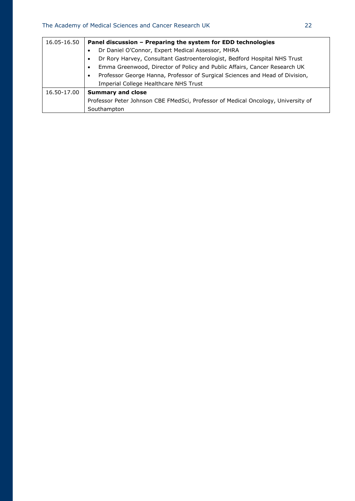| 16.05-16.50 | Panel discussion - Preparing the system for EDD technologies                           |
|-------------|----------------------------------------------------------------------------------------|
|             | Dr Daniel O'Connor, Expert Medical Assessor, MHRA                                      |
|             | Dr Rory Harvey, Consultant Gastroenterologist, Bedford Hospital NHS Trust<br>$\bullet$ |
|             | Emma Greenwood, Director of Policy and Public Affairs, Cancer Research UK<br>$\bullet$ |
|             | Professor George Hanna, Professor of Surgical Sciences and Head of Division,           |
|             | Imperial College Healthcare NHS Trust                                                  |
| 16.50-17.00 | <b>Summary and close</b>                                                               |
|             | Professor Peter Johnson CBE FMedSci, Professor of Medical Oncology, University of      |
|             | Southampton                                                                            |